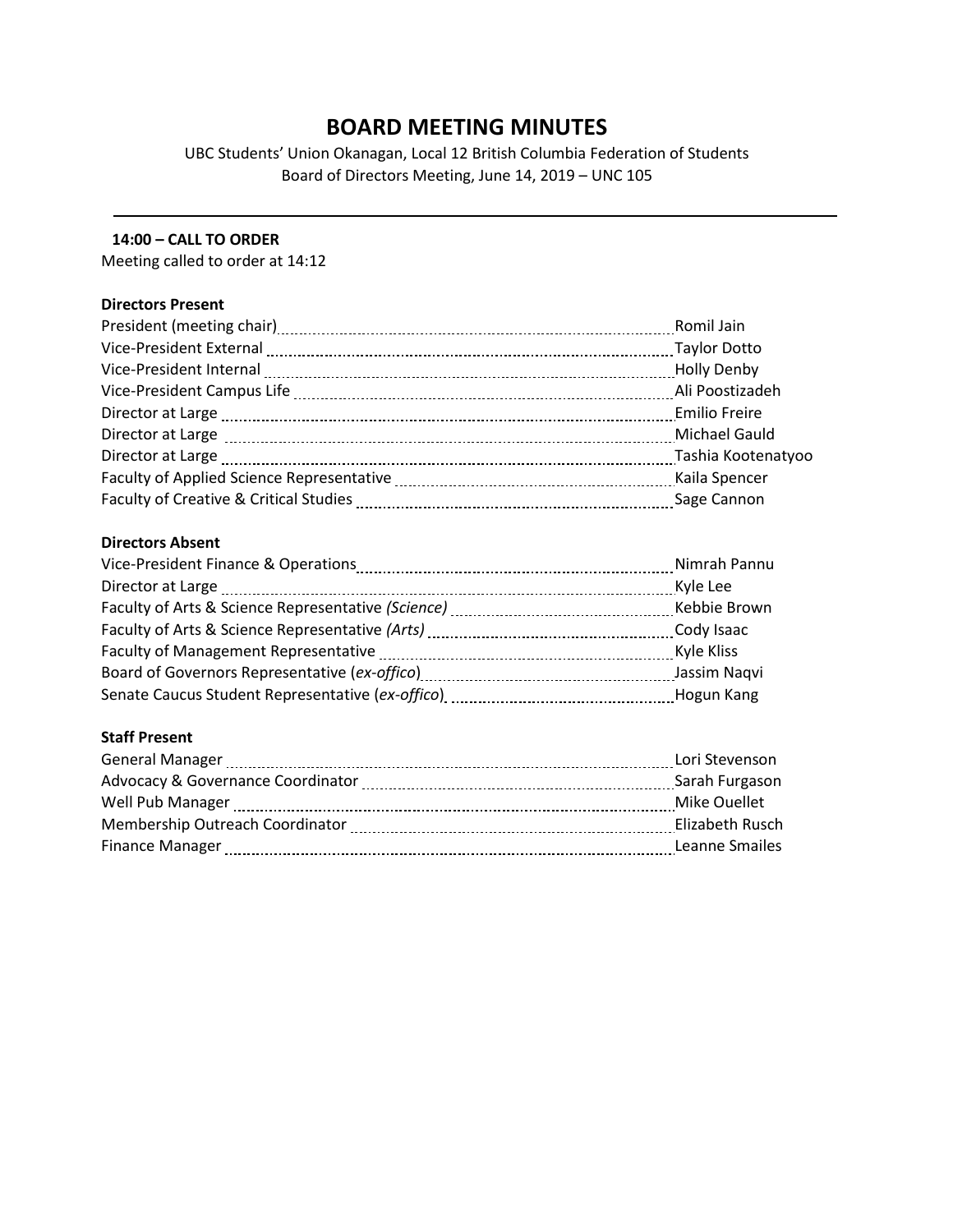# **BOARD MEETING MINUTES**

UBC Students' Union Okanagan, Local 12 British Columbia Federation of Students Board of Directors Meeting, June 14, 2019 – UNC 105

## **14:00 – CALL TO ORDER**

Meeting called to order at 14:12

# **Directors Present**

|                                                                                                                | Romil Jain         |
|----------------------------------------------------------------------------------------------------------------|--------------------|
| Vice-President External [111] Vice-President External [111] Manuschill (2011] May June 2011 and May June 2011  |                    |
|                                                                                                                | <b>Holly Denby</b> |
|                                                                                                                | Ali Poostizadeh    |
| Director at Large [100] Director at Large [100] Director at Large [100] Director at Large [100] Director at La |                    |
| Director at Large [11] manual contracts are contracted as a contract of the contract of the contract of the co | Michael Gauld      |
|                                                                                                                | Tashia Kootenatyoo |
|                                                                                                                | Kaila Spencer      |
|                                                                                                                | Sage Cannon        |

# **Directors Absent**

|                                                                                                               | Nimrah Pannu |
|---------------------------------------------------------------------------------------------------------------|--------------|
| Director at Large                                                                                             | Kyle Lee     |
|                                                                                                               | Kebbie Brown |
| Faculty of Arts & Science Representative (Arts) [11] Taculty of Arts & Science Representative (Arts)          | Cody Isaac   |
|                                                                                                               | Kyle Kliss   |
|                                                                                                               | Jassim Nagvi |
| Senate Caucus Student Representative (ex-offico) [11] [2012] Senate Caucus Student Representative (ex-office) | Hogun Kang   |

# **Staff Present**

| <b>General Manager</b>                                                                                                                                                                                                                                   | Lori Stevenson  |
|----------------------------------------------------------------------------------------------------------------------------------------------------------------------------------------------------------------------------------------------------------|-----------------|
| Advocacy & Governance Coordinator                                                                                                                                                                                                                        | Sarah Furgason  |
| Well Pub Manager                                                                                                                                                                                                                                         | Mike Ouellet    |
| Membership Outreach Coordinator                                                                                                                                                                                                                          | Elizabeth Rusch |
| <b>Finance Manager</b><br>and the contract of the contract of the contract of the contract of the contract of the contract of the contract of the contract of the contract of the contract of the contract of the contract of the contract of the contra | Leanne Smailes  |
|                                                                                                                                                                                                                                                          |                 |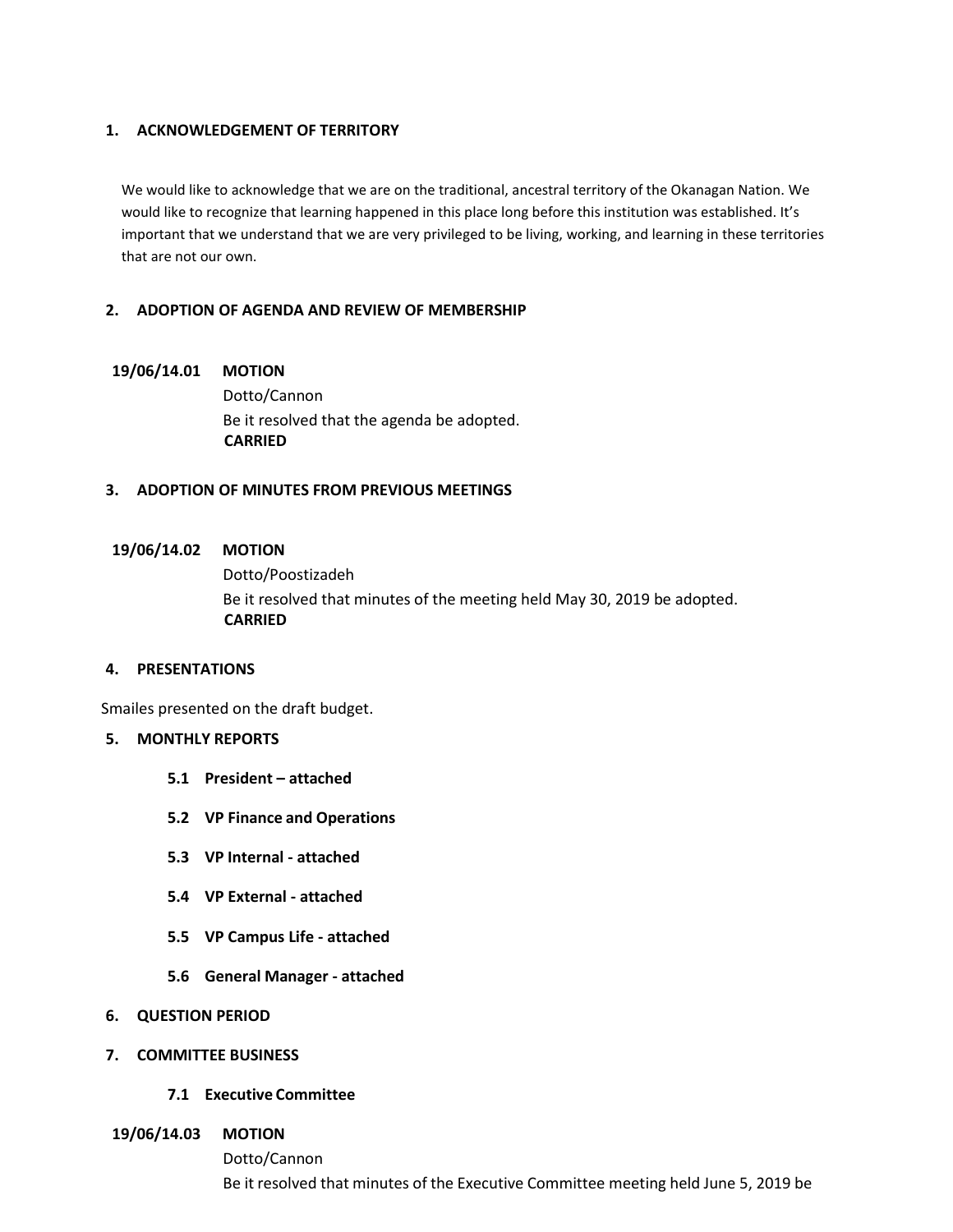#### **1. ACKNOWLEDGEMENT OF TERRITORY**

We would like to acknowledge that we are on the traditional, ancestral territory of the Okanagan Nation. We would like to recognize that learning happened in this place long before this institution was established. It's important that we understand that we are very privileged to be living, working, and learning in these territories that are not our own.

## **2. ADOPTION OF AGENDA AND REVIEW OF MEMBERSHIP**

## **19/06/14.01 MOTION**

Dotto/Cannon Be it resolved that the agenda be adopted. **CARRIED**

## **3. ADOPTION OF MINUTES FROM PREVIOUS MEETINGS**

## **19/06/14.02 MOTION**

Dotto/Poostizadeh Be it resolved that minutes of the meeting held May 30, 2019 be adopted. **CARRIED**

#### **4. PRESENTATIONS**

Smailes presented on the draft budget.

#### **5. MONTHLY REPORTS**

- **5.1 President – attached**
- **5.2 VP Finance and Operations**
- **5.3 VP Internal - attached**
- **5.4 VP External - attached**
- **5.5 VP Campus Life - attached**
- **5.6 General Manager - attached**
- **6. QUESTION PERIOD**
- **7. COMMITTEE BUSINESS**
	- **7.1 Executive Committee**
- **19/06/14.03 MOTION**
	- Dotto/Cannon

Be it resolved that minutes of the Executive Committee meeting held June 5, 2019 be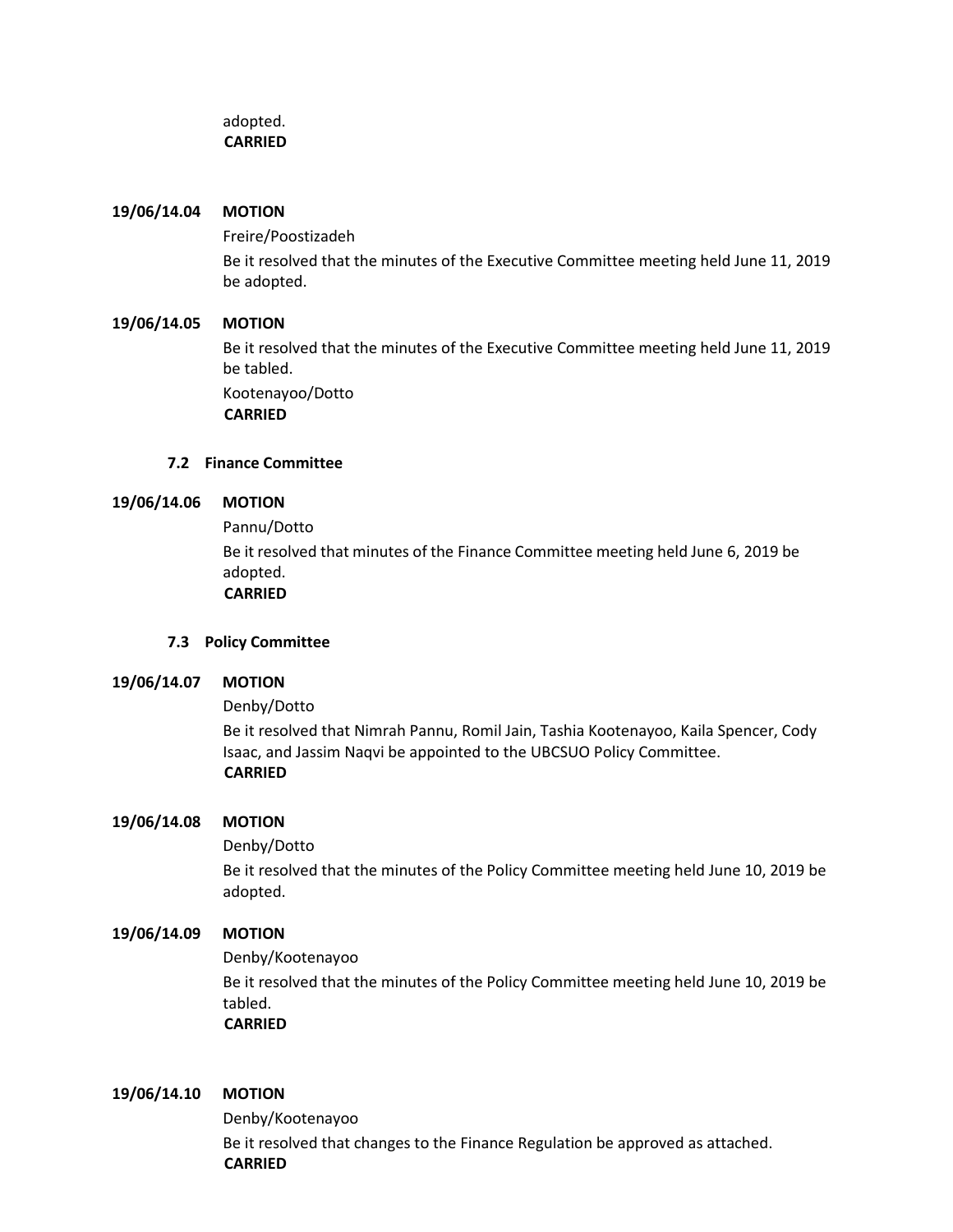# adopted. **CARRIED**

## **19/06/14.04 MOTION**

Freire/Poostizadeh Be it resolved that the minutes of the Executive Committee meeting held June 11, 2019 be adopted.

# **19/06/14.05 MOTION**

Be it resolved that the minutes of the Executive Committee meeting held June 11, 2019 be tabled. Kootenayoo/Dotto

**CARRIED**

# **7.2 Finance Committee**

# **19/06/14.06 MOTION**

Pannu/Dotto Be it resolved that minutes of the Finance Committee meeting held June 6, 2019 be adopted. **CARRIED**

# **7.3 Policy Committee**

# **19/06/14.07 MOTION**

# Denby/Dotto

Be it resolved that Nimrah Pannu, Romil Jain, Tashia Kootenayoo, Kaila Spencer, Cody Isaac, and Jassim Naqvi be appointed to the UBCSUO Policy Committee. **CARRIED**

# **19/06/14.08 MOTION**

# Denby/Dotto

Be it resolved that the minutes of the Policy Committee meeting held June 10, 2019 be adopted.

# **19/06/14.09 MOTION**

Denby/Kootenayoo Be it resolved that the minutes of the Policy Committee meeting held June 10, 2019 be tabled. **CARRIED**

#### **19/06/14.10 MOTION**

Denby/Kootenayoo Be it resolved that changes to the Finance Regulation be approved as attached. **CARRIED**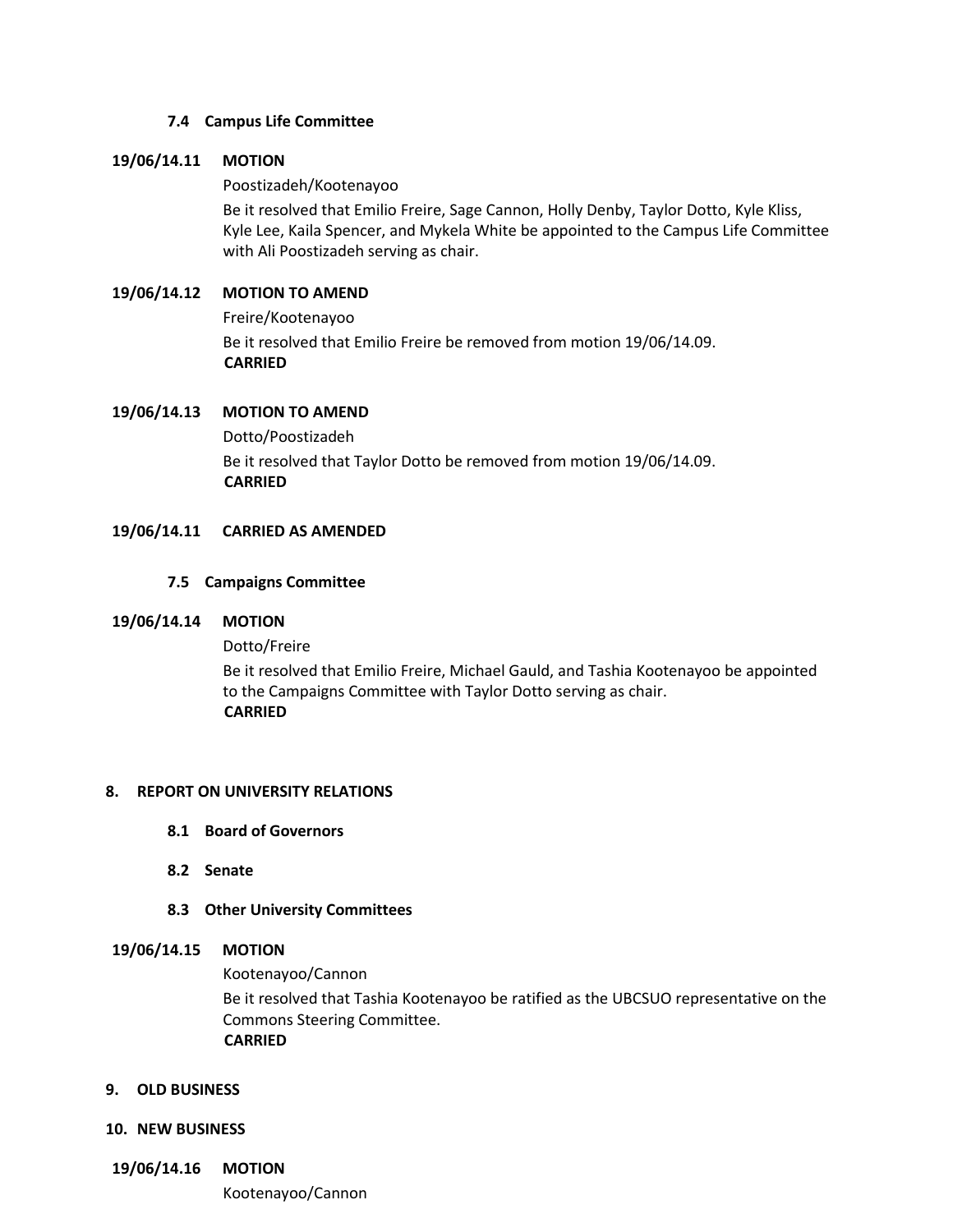## **7.4 Campus Life Committee**

## **19/06/14.11 MOTION**

## Poostizadeh/Kootenayoo

Be it resolved that Emilio Freire, Sage Cannon, Holly Denby, Taylor Dotto, Kyle Kliss, Kyle Lee, Kaila Spencer, and Mykela White be appointed to the Campus Life Committee with Ali Poostizadeh serving as chair.

# **19/06/14.12 MOTION TO AMEND**

Freire/Kootenayoo Be it resolved that Emilio Freire be removed from motion 19/06/14.09. **CARRIED**

## **19/06/14.13 MOTION TO AMEND**

Dotto/Poostizadeh Be it resolved that Taylor Dotto be removed from motion 19/06/14.09. **CARRIED**

## **19/06/14.11 CARRIED AS AMENDED**

## **7.5 Campaigns Committee**

#### **19/06/14.14 MOTION**

Dotto/Freire

Be it resolved that Emilio Freire, Michael Gauld, and Tashia Kootenayoo be appointed to the Campaigns Committee with Taylor Dotto serving as chair. **CARRIED**

#### **8. REPORT ON UNIVERSITY RELATIONS**

- **8.1 Board of Governors**
- **8.2 Senate**
- **8.3 Other University Committees**

## **19/06/14.15 MOTION**

Kootenayoo/Cannon

Be it resolved that Tashia Kootenayoo be ratified as the UBCSUO representative on the Commons Steering Committee. **CARRIED**

#### **9. OLD BUSINESS**

#### **10. NEW BUSINESS**

**19/06/14.16 MOTION**

Kootenayoo/Cannon